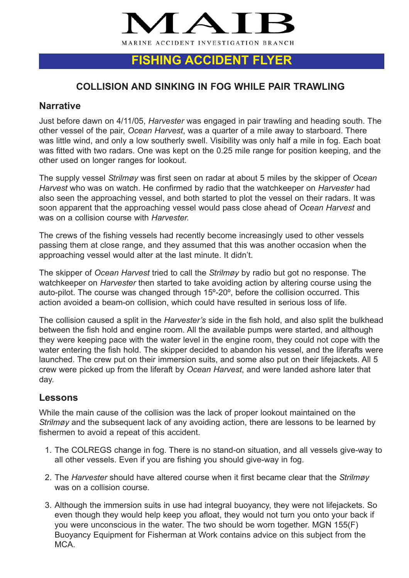

# **FISHING ACCIDENT FLYER**

## **COLLISION AND SINKING IN FOG WHILE PAIR TRAWLING**

### **Narrative**

Just before dawn on 4/11/05, *Harvester* was engaged in pair trawling and heading south. The other vessel of the pair, *Ocean Harvest*, was a quarter of a mile away to starboard. There was little wind, and only a low southerly swell. Visibility was only half a mile in fog. Each boat was fitted with two radars. One was kept on the 0.25 mile range for position keeping, and the other used on longer ranges for lookout.

The supply vessel *Strilmøy* was first seen on radar at about 5 miles by the skipper of *Ocean Harvest* who was on watch. He confirmed by radio that the watchkeeper on *Harvester* had also seen the approaching vessel, and both started to plot the vessel on their radars. It was soon apparent that the approaching vessel would pass close ahead of *Ocean Harvest* and was on a collision course with *Harvester.*

The crews of the fishing vessels had recently become increasingly used to other vessels passing them at close range, and they assumed that this was another occasion when the approaching vessel would alter at the last minute. It didn't.

The skipper of *Ocean Harvest* tried to call the *Strilmøy* by radio but got no response. The watchkeeper on *Harvester* then started to take avoiding action by altering course using the auto-pilot. The course was changed through 15º-20º, before the collision occurred. This action avoided a beam-on collision, which could have resulted in serious loss of life.

The collision caused a split in the *Harvester's* side in the fish hold, and also split the bulkhead between the fish hold and engine room. All the available pumps were started, and although they were keeping pace with the water level in the engine room, they could not cope with the water entering the fish hold. The skipper decided to abandon his vessel, and the liferafts were launched. The crew put on their immersion suits, and some also put on their lifejackets. All 5 crew were picked up from the liferaft by *Ocean Harvest*, and were landed ashore later that day.

#### **Lessons**

While the main cause of the collision was the lack of proper lookout maintained on the *Strilmøy* and the subsequent lack of any avoiding action, there are lessons to be learned by fishermen to avoid a repeat of this accident.

- 1. The COLREGS change in fog. There is no stand-on situation, and all vessels give-way to all other vessels. Even if you are fishing you should give-way in fog.
- 2. The *Harvester* should have altered course when it first became clear that the *Strilmøy* was on a collision course.
- 3. Although the immersion suits in use had integral buoyancy, they were not lifejackets. So even though they would help keep you afloat, they would not turn you onto your back if you were unconscious in the water. The two should be worn together. MGN 155(F) Buoyancy Equipment for Fisherman at Work contains advice on this subject from the MCA.